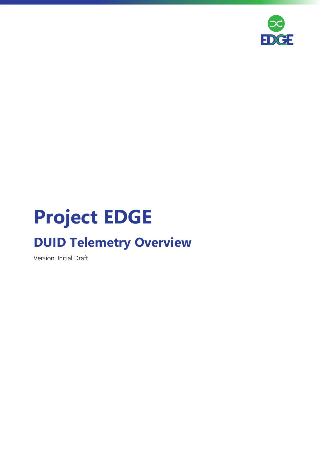

# **Project EDGE**

## **DUID Telemetry Overview**

Version: Initial Draft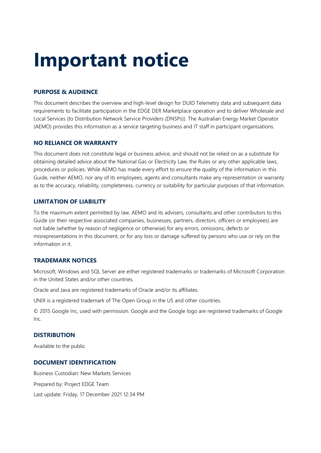## **Important notice**

#### **PURPOSE & AUDIENCE**

This document describes the overview and high-level design for DUID Telemetry data and subsequent data requirements to facilitate participation in the EDGE DER Marketplace operation and to deliver Wholesale and Local Services (to Distribution Network Service Providers (DNSPs)). The Australian Energy Market Operator (AEMO) provides this information as a service targeting business and IT staff in participant organisations.

#### **NO RELIANCE OR WARRANTY**

This document does not constitute legal or business advice, and should not be relied on as a substitute for obtaining detailed advice about the National Gas or Electricity Law, the Rules or any other applicable laws, procedures or policies. While AEMO has made every effort to ensure the quality of the information in this Guide, neither AEMO, nor any of its employees, agents and consultants make any representation or warranty as to the accuracy, reliability, completeness, currency or suitability for particular purposes of that information.

#### **LIMITATION OF LIABILITY**

To the maximum extent permitted by law, AEMO and its advisers, consultants and other contributors to this Guide (or their respective associated companies, businesses, partners, directors, officers or employees) are not liable (whether by reason of negligence or otherwise) for any errors, omissions, defects or misrepresentations in this document, or for any loss or damage suffered by persons who use or rely on the information in it.

#### **TRADEMARK NOTICES**

Microsoft, Windows and SQL Server are either registered trademarks or trademarks of Microsoft Corporation in the United States and/or other countries.

Oracle and Java are registered trademarks of Oracle and/or its affiliates.

UNIX is a registered trademark of The Open Group in the US and other countries.

© 2015 Google Inc, used with permission. Google and the Google logo are registered trademarks of Google Inc.

#### **DISTRIBUTION**

Available to the public.

#### **DOCUMENT IDENTIFICATION**

Business Custodian: New Markets Services Prepared by: Project EDGE Team Last update: Friday, 17 December 2021 12:34 PM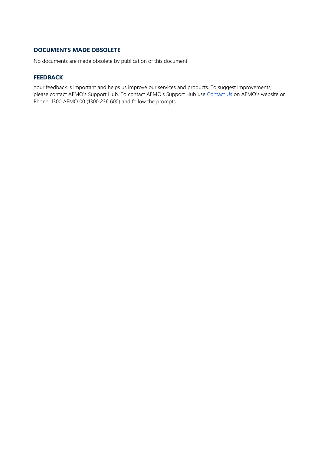#### **DOCUMENTS MADE OBSOLETE**

No documents are made obsolete by publication of this document.

#### **FEEDBACK**

Your feedback is important and helps us improve our services and products. To suggest improvements, please contact AEMO's Support Hub. To contact AEMO's Support Hub use [Contact Us](http://aemo.com.au/Contact-us) on AEMO's website or Phone: 1300 AEMO 00 (1300 236 600) and follow the prompts.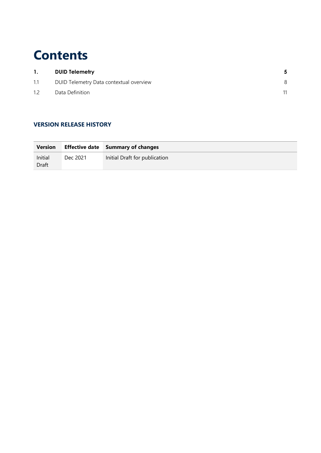### **Contents**

| 1.  | <b>DUID Telemetry</b>                   |   |
|-----|-----------------------------------------|---|
| 1.1 | DUID Telemetry Data contextual overview | 8 |
| 1.2 | Data Definition                         |   |

#### **VERSION RELEASE HISTORY**

| <b>Version</b>   |          | <b>Effective date</b> Summary of changes |
|------------------|----------|------------------------------------------|
| Initial<br>Draft | Dec 2021 | Initial Draft for publication            |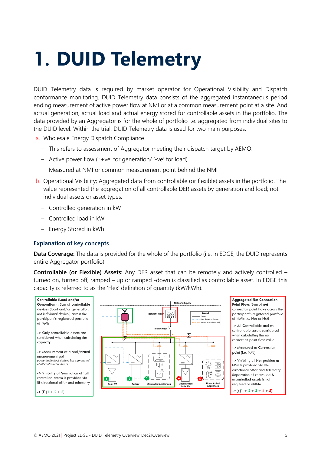# <span id="page-4-0"></span>**1. DUID Telemetry**

DUID Telemetry data is required by market operator for Operational Visibility and Dispatch conformance monitoring. DUID Telemetry data consists of the aggregated instantaneous period ending measurement of active power flow at NMI or at a common measurement point at a site. And actual generation, actual load and actual energy stored for controllable assets in the portfolio. The data provided by an Aggregator is for the whole of portfolio i.e. aggregated from individual sites to the DUID level. Within the trial, DUID Telemetry data is used for two main purposes:

- a. Wholesale Energy Dispatch Compliance
	- This refers to assessment of Aggregator meeting their dispatch target by AEMO.
	- Active power flow ( '+ve' for generation/ '-ve' for load)
	- Measured at NMI or common measurement point behind the NMI
- b. Operational Visibility; Aggregated data from controllable (or flexible) assets in the portfolio. The value represented the aggregation of all controllable DER assets by generation and load; not individual assets or asset types.
	- Controlled generation in kW
	- Controlled load in kW
	- Energy Stored in kWh

#### **Explanation of key concepts**

**Data Coverage:** The data is provided for the whole of the portfolio (i.e. in EDGE, the DUID represents entire Aggregator portfolio)

**Controllable (or Flexible) Assets:** Any DER asset that can be remotely and actively controlled – turned on, turned off, ramped – up or ramped -down is classified as controllable asset. In EDGE this capacity is referred to as the 'Flex' definition of quantity (kW/kWh).

Controllable (Load and/or **Generation**) : Sum of controllable devices (load and/or generation: not individual devices) across the participant's registered portfolio of NM<sub>s</sub> -> Only controllable assets are considered when calculating the capacity -> Measurement at a real/virtual measurement point ps; not individual devices but aggregated pay not matricular devices<br>of all controllable devices -> Visibility of 'summation of' all controlled assets is provided via Bi-directional offer and telemetry

 $\Rightarrow$   $\sum$  (1 + 2 + 3)



Aggregated Net Connection Point Flow: Sum of net connection point flows across the participant's registered portfolio of NMIs i.e. Net at NMI

-> All Controllable and uncontrollable assets considered when calculatina the net connection point flow value

-> Measured at Connection point (i.e. NMI)

-> Visibility of Net position at NMI is provided via Bidirectional offer and telemetry Separation of controlled & uncontrolled assets is not required or visible

 $\Rightarrow$   $\sum$  (1 + 2 + 3 + 4 + 5)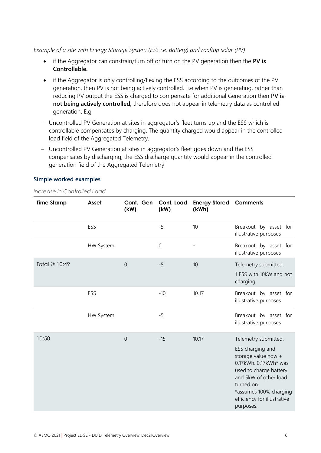*Example of a site with Energy Storage System (ESS i.e. Battery) and rooftop solar (PV)*

- if the Aggregator can constrain/turn off or turn on the PV generation then the **PV is Controllable.**
- if the Aggregator is only controlling/flexing the ESS according to the outcomes of the PV generation, then PV is not being actively controlled. i.e when PV is generating, rather than reducing PV output the ESS is charged to compensate for additional Generation then **PV is not being actively controlled,** therefore does not appear in telemetry data as controlled generation**.** E.g
- Uncontrolled PV Generation at sites in aggregator's fleet turns up and the ESS which is controllable compensates by charging. The quantity charged would appear in the controlled load field of the Aggregated Telemetry.
- Uncontrolled PV Generation at sites in aggregator's fleet goes down and the ESS compensates by discharging; the ESS discharge quantity would appear in the controlled generation field of the Aggregated Telemetry

#### **Simple worked examples**

*Increase in Controlled Load*

| <b>Time Stamp</b> | Asset            | Cont. Gen<br>(kW) | Cont. Load<br>(kW) | <b>Energy Stored</b><br>(kWh) | <b>Comments</b>                                                                                                                                                                                                                 |
|-------------------|------------------|-------------------|--------------------|-------------------------------|---------------------------------------------------------------------------------------------------------------------------------------------------------------------------------------------------------------------------------|
|                   | ESS              |                   | $-5$               | 10                            | Breakout by asset for<br>illustrative purposes                                                                                                                                                                                  |
|                   | <b>HW System</b> |                   | $\boldsymbol{0}$   |                               | Breakout by asset for<br>illustrative purposes                                                                                                                                                                                  |
| Total @ 10:49     |                  | $\overline{0}$    | $-5$               | 10                            | Telemetry submitted.<br>1 ESS with 10kW and not<br>charging                                                                                                                                                                     |
|                   | ESS              |                   | $-10$              | 10.17                         | Breakout by asset for<br>illustrative purposes                                                                                                                                                                                  |
|                   | <b>HW System</b> |                   | $-5$               |                               | Breakout by asset for<br>illustrative purposes                                                                                                                                                                                  |
| 10:50             |                  | $\mathbf 0$       | $-15$              | 10.17                         | Telemetry submitted.<br>ESS charging and<br>storage value now +<br>0.17kWh. 0.17kWh* was<br>used to charge battery<br>and 5kW of other load<br>turned on.<br>*assumes 100% charging<br>efficiency for illustrative<br>purposes. |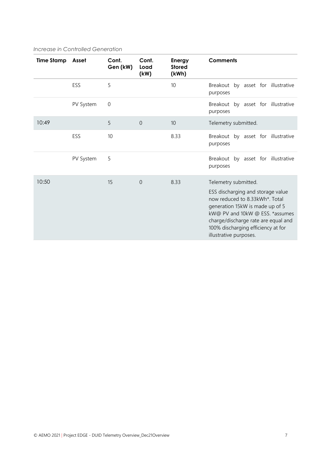#### *Increase in Controlled Generation*

| <b>Time Stamp</b> | Asset     | Cont.<br>Gen (kW) | Cont.<br>Load<br>(kW) | Energy<br><b>Stored</b><br>(kWh) | <b>Comments</b>                                                                                                                                                                                                                                                          |  |
|-------------------|-----------|-------------------|-----------------------|----------------------------------|--------------------------------------------------------------------------------------------------------------------------------------------------------------------------------------------------------------------------------------------------------------------------|--|
|                   | ESS       | 5                 |                       | 10                               | by asset for illustrative<br>Breakout<br>purposes                                                                                                                                                                                                                        |  |
|                   | PV System | $\mathbf 0$       |                       |                                  | Breakout by asset for illustrative<br>purposes                                                                                                                                                                                                                           |  |
| 10:49             |           | 5                 | $\theta$              | 10                               | Telemetry submitted.                                                                                                                                                                                                                                                     |  |
|                   | ESS       | 10                |                       | 8.33                             | Breakout by asset for illustrative<br>purposes                                                                                                                                                                                                                           |  |
|                   | PV System | 5                 |                       |                                  | Breakout by asset for illustrative<br>purposes                                                                                                                                                                                                                           |  |
| 10:50             |           | 15                | $\overline{0}$        | 8.33                             | Telemetry submitted.<br>ESS discharging and storage value<br>now reduced to 8.33kWh*. Total<br>generation 15kW is made up of 5<br>kW@ PV and 10kW @ ESS. *assumes<br>charge/discharge rate are equal and<br>100% discharging efficiency at for<br>illustrative purposes. |  |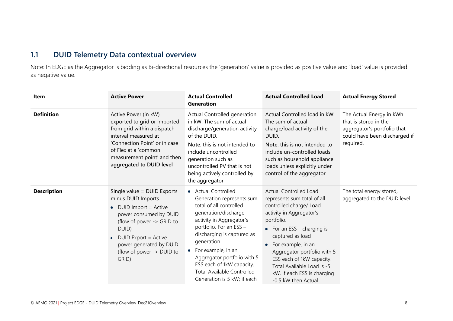### **1.1 DUID Telemetry Data contextual overview**

Note: In EDGE as the Aggregator is bidding as Bi-directional resources the 'generation' value is provided as positive value and 'load' value is provided as negative value.

<span id="page-7-0"></span>

| <b>Item</b>        | <b>Active Power</b>                                                                                                                                                                                                                       | <b>Actual Controlled</b><br><b>Generation</b>                                                                                                                                                                                                                                                                                                                          | <b>Actual Controlled Load</b>                                                                                                                                                                                                                                                                                                                               | <b>Actual Energy Stored</b>                                                                                                    |
|--------------------|-------------------------------------------------------------------------------------------------------------------------------------------------------------------------------------------------------------------------------------------|------------------------------------------------------------------------------------------------------------------------------------------------------------------------------------------------------------------------------------------------------------------------------------------------------------------------------------------------------------------------|-------------------------------------------------------------------------------------------------------------------------------------------------------------------------------------------------------------------------------------------------------------------------------------------------------------------------------------------------------------|--------------------------------------------------------------------------------------------------------------------------------|
| <b>Definition</b>  | Active Power (in kW)<br>exported to grid or imported<br>from grid within a dispatch<br>interval measured at<br>'Connection Point' or in case<br>of Flex at a 'common<br>measurement point' and then<br>aggregated to DUID level           | Actual Controlled generation<br>in kW: The sum of actual<br>discharge/generation activity<br>of the DUID.<br>Note: this is not intended to<br>include uncontrolled<br>generation such as<br>uncontrolled PV that is not<br>being actively controlled by<br>the aggregator                                                                                              | Actual Controlled load in kW:<br>The sum of actual<br>charge/load activity of the<br>DUID.<br>Note: this is not intended to<br>include un-controlled loads<br>such as household appliance<br>loads unless explicitly under<br>control of the aggregator                                                                                                     | The Actual Energy in kWh<br>that is stored in the<br>aggregator's portfolio that<br>could have been discharged if<br>required. |
| <b>Description</b> | Single value = DUID Exports<br>minus DUID Imports<br>DUID Import = Active<br>power consumed by DUID<br>(flow of power -> GRID to<br>DUID)<br><b>DUID Export = Active</b><br>power generated by DUID<br>(flow of power -> DUID to<br>GRID) | • Actual Controlled<br>Generation represents sum<br>total of all controlled<br>generation/discharge<br>activity in Aggregator's<br>portfolio. For an ESS -<br>discharging is captured as<br>generation<br>$\bullet$ For example, in an<br>Aggregator portfolio with 5<br>ESS each of 1kW capacity.<br><b>Total Available Controlled</b><br>Generation is 5 kW; if each | <b>Actual Controlled Load</b><br>represents sum total of all<br>controlled charge/ Load<br>activity in Aggregator's<br>portfolio.<br>• For an $ESS - charging$ is<br>captured as load<br>For example, in an<br>Aggregator portfolio with 5<br>ESS each of 1kW capacity.<br>Total Available Load is -5<br>kW. If each ESS is charging<br>-0.5 kW then Actual | The total energy stored,<br>aggregated to the DUID level.                                                                      |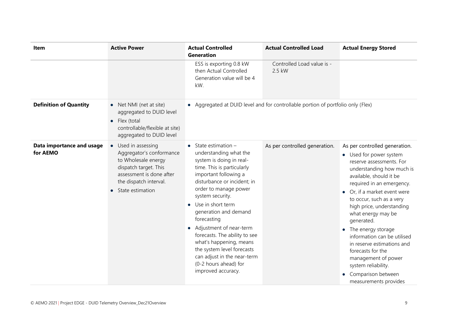| Item                                  | <b>Active Power</b>                                                                                                                                                     | <b>Actual Controlled</b><br><b>Generation</b>                                                                                                                                                                                                                                                                                                                                                                                                                                                        | <b>Actual Controlled Load</b>                                                    | <b>Actual Energy Stored</b>                                                                                                                                                                                                                                                                                                                                                                                                                                                                                                |
|---------------------------------------|-------------------------------------------------------------------------------------------------------------------------------------------------------------------------|------------------------------------------------------------------------------------------------------------------------------------------------------------------------------------------------------------------------------------------------------------------------------------------------------------------------------------------------------------------------------------------------------------------------------------------------------------------------------------------------------|----------------------------------------------------------------------------------|----------------------------------------------------------------------------------------------------------------------------------------------------------------------------------------------------------------------------------------------------------------------------------------------------------------------------------------------------------------------------------------------------------------------------------------------------------------------------------------------------------------------------|
|                                       |                                                                                                                                                                         | ESS is exporting 0.8 kW<br>then Actual Controlled<br>Generation value will be 4<br>kW.                                                                                                                                                                                                                                                                                                                                                                                                               | Controlled Load value is -<br>2.5 kW                                             |                                                                                                                                                                                                                                                                                                                                                                                                                                                                                                                            |
| <b>Definition of Quantity</b>         | • Net NMI (net at site)<br>aggregated to DUID level<br>Flex (total<br>$\bullet$<br>controllable/flexible at site)<br>aggregated to DUID level                           |                                                                                                                                                                                                                                                                                                                                                                                                                                                                                                      | • Aggregated at DUID level and for controllable portion of portfolio only (Flex) |                                                                                                                                                                                                                                                                                                                                                                                                                                                                                                                            |
| Data importance and usage<br>for AEMO | Used in assessing<br>Aggregator's conformance<br>to Wholesale energy<br>dispatch target. This<br>assessment is done after<br>the dispatch interval.<br>State estimation | $\bullet$ State estimation -<br>understanding what the<br>system is doing in real-<br>time. This is particularly<br>important following a<br>disturbance or incident; in<br>order to manage power<br>system security.<br>Use in short term<br>$\bullet$<br>generation and demand<br>forecasting<br>• Adjustment of near-term<br>forecasts. The ability to see<br>what's happening, means<br>the system level forecasts<br>can adjust in the near-term<br>(0-2 hours ahead) for<br>improved accuracy. | As per controlled generation.                                                    | As per controlled generation.<br>• Used for power system<br>reserve assessments. For<br>understanding how much is<br>available, should it be<br>required in an emergency.<br>• Or, if a market event were<br>to occur, such as a very<br>high price, understanding<br>what energy may be<br>generated.<br>• The energy storage<br>information can be utilised<br>in reserve estimations and<br>forecasts for the<br>management of power<br>system reliability.<br>Comparison between<br>$\bullet$<br>measurements provides |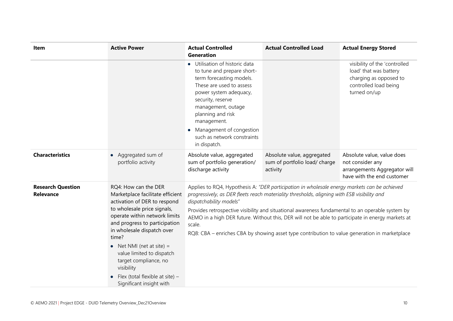| Item                                         | <b>Active Power</b>                                                                                                                                                                                                                                                                                                                                                                                | <b>Actual Controlled</b><br><b>Generation</b>                                                                                                                                                                                                                                                                                                                                                                                                                                                                                              | <b>Actual Controlled Load</b>                                           | <b>Actual Energy Stored</b>                                                                                                |
|----------------------------------------------|----------------------------------------------------------------------------------------------------------------------------------------------------------------------------------------------------------------------------------------------------------------------------------------------------------------------------------------------------------------------------------------------------|--------------------------------------------------------------------------------------------------------------------------------------------------------------------------------------------------------------------------------------------------------------------------------------------------------------------------------------------------------------------------------------------------------------------------------------------------------------------------------------------------------------------------------------------|-------------------------------------------------------------------------|----------------------------------------------------------------------------------------------------------------------------|
|                                              |                                                                                                                                                                                                                                                                                                                                                                                                    | • Utilisation of historic data<br>to tune and prepare short-<br>term forecasting models.<br>These are used to assess<br>power system adequacy,<br>security, reserve<br>management, outage<br>planning and risk<br>management.<br>Management of congestion<br>such as network constraints<br>in dispatch.                                                                                                                                                                                                                                   |                                                                         | visibility of the 'controlled<br>load' that was battery<br>charging as opposed to<br>controlled load being<br>turned on/up |
| <b>Characteristics</b>                       | Aggregated sum of<br>$\bullet$<br>portfolio activity                                                                                                                                                                                                                                                                                                                                               | Absolute value, aggregated<br>sum of portfolio generation/<br>discharge activity                                                                                                                                                                                                                                                                                                                                                                                                                                                           | Absolute value, aggregated<br>sum of portfolio load/ charge<br>activity | Absolute value, value does<br>not consider any<br>arrangements Aggregator will<br>have with the end customer               |
| <b>Research Question</b><br><b>Relevance</b> | RQ4: How can the DER<br>Marketplace facilitate efficient<br>activation of DER to respond<br>to wholesale price signals,<br>operate within network limits<br>and progress to participation<br>in wholesale dispatch over<br>time?<br>• Net NMI (net at site) $=$<br>value limited to dispatch<br>target compliance, no<br>visibility<br>Flex (total flexible at site) -<br>Significant insight with | Applies to RQ4, Hypothesis A: "DER participation in wholesale energy markets can be achieved<br>progressively, as DER fleets reach materiality thresholds, aligning with ESB visibility and<br>dispatchability models"<br>Provides retrospective visibility and situational awareness fundamental to an operable system by<br>AEMO in a high DER future. Without this, DER will not be able to participate in energy markets at<br>scale.<br>RQ8: CBA - enriches CBA by showing asset type contribution to value generation in marketplace |                                                                         |                                                                                                                            |